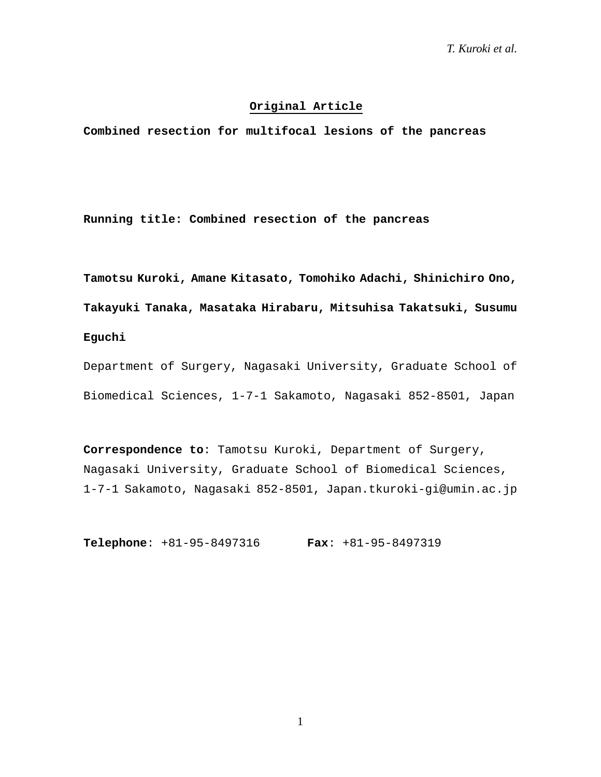## **Original Article**

**Combined resection for multifocal lesions of the pancreas** 

**Running title: Combined resection of the pancreas**

**Tamotsu Kuroki, Amane Kitasato, Tomohiko Adachi, Shinichiro Ono, Takayuki Tanaka, Masataka Hirabaru, Mitsuhisa Takatsuki, Susumu Eguchi**

Department of Surgery, Nagasaki University, Graduate School of Biomedical Sciences, 1-7-1 Sakamoto, Nagasaki 852-8501, Japan

**Correspondence to**: Tamotsu Kuroki, Department of Surgery, Nagasaki University, Graduate School of Biomedical Sciences, 1-7-1 Sakamoto, Nagasaki 852-8501, Japan.tkuroki-gi@umin.ac.jp

**Telephone**: +81-95-8497316 **Fax**: +81-95-8497319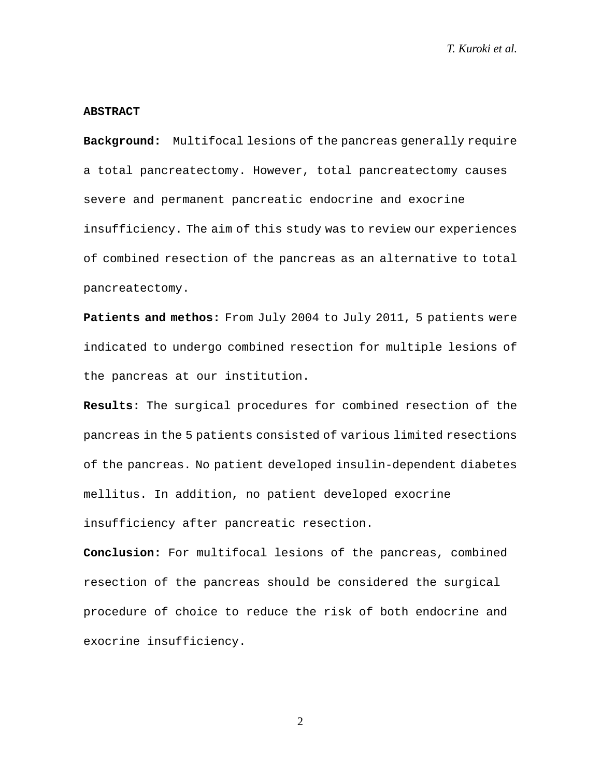#### **ABSTRACT**

**Background:** Multifocal lesions of the pancreas generally require a total pancreatectomy. However, total pancreatectomy causes severe and permanent pancreatic endocrine and exocrine insufficiency. The aim of this study was to review our experiences of combined resection of the pancreas as an alternative to total pancreatectomy.

Patients and methos: From July 2004 to July 2011, 5 patients were indicated to undergo combined resection for multiple lesions of the pancreas at our institution.

**Results:** The surgical procedures for combined resection of the pancreas in the 5 patients consisted of various limited resections of the pancreas. No patient developed insulin-dependent diabetes mellitus. In addition, no patient developed exocrine insufficiency after pancreatic resection.

**Conclusion:** For multifocal lesions of the pancreas, combined resection of the pancreas should be considered the surgical procedure of choice to reduce the risk of both endocrine and exocrine insufficiency.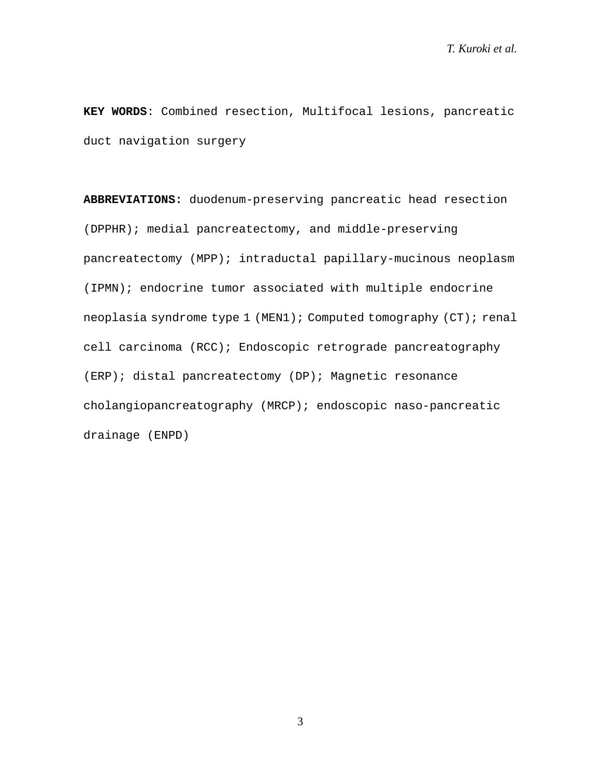**KEY WORDS**: Combined resection, Multifocal lesions, pancreatic duct navigation surgery

**ABBREVIATIONS:** duodenum-preserving pancreatic head resection (DPPHR); medial pancreatectomy, and middle-preserving pancreatectomy (MPP); intraductal papillary-mucinous neoplasm (IPMN); endocrine tumor associated with multiple endocrine neoplasia syndrome type 1 (MEN1); Computed tomography (CT); renal cell carcinoma (RCC); Endoscopic retrograde pancreatography (ERP); distal pancreatectomy (DP); Magnetic resonance cholangiopancreatography (MRCP); endoscopic naso-pancreatic drainage (ENPD)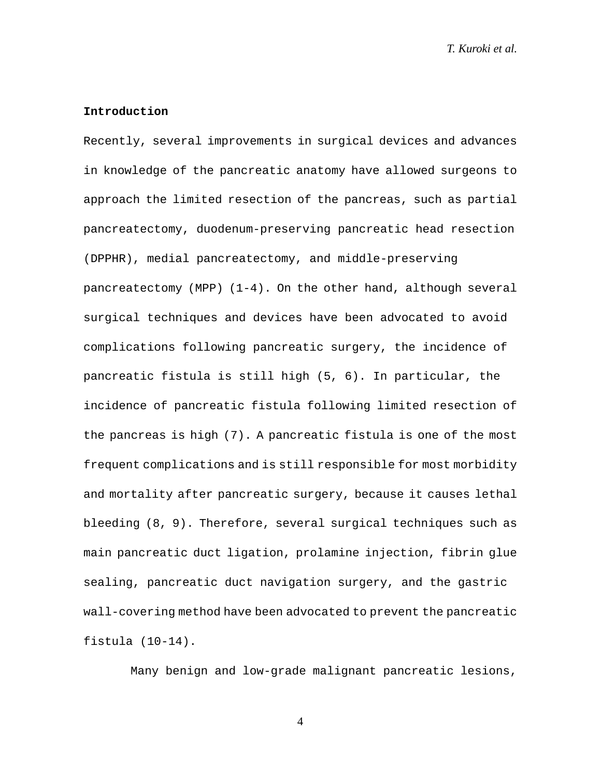#### **Introduction**

Recently, several improvements in surgical devices and advances in knowledge of the pancreatic anatomy have allowed surgeons to approach the limited resection of the pancreas, such as partial pancreatectomy, duodenum-preserving pancreatic head resection (DPPHR), medial pancreatectomy, and middle-preserving pancreatectomy (MPP) (1-4). On the other hand, although several surgical techniques and devices have been advocated to avoid complications following pancreatic surgery, the incidence of pancreatic fistula is still high (5, 6). In particular, the incidence of pancreatic fistula following limited resection of the pancreas is high (7). A pancreatic fistula is one of the most frequent complications and is still responsible for most morbidity and mortality after pancreatic surgery, because it causes lethal bleeding (8, 9). Therefore, several surgical techniques such as main pancreatic duct ligation, prolamine injection, fibrin glue sealing, pancreatic duct navigation surgery, and the gastric wall-covering method have been advocated to prevent the pancreatic fistula (10-14).

Many benign and low-grade malignant pancreatic lesions,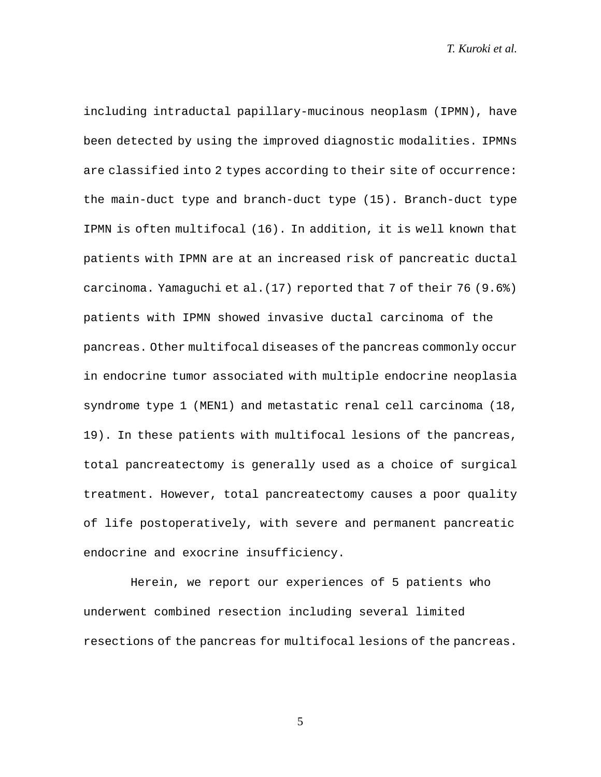including intraductal papillary-mucinous neoplasm (IPMN), have been detected by using the improved diagnostic modalities. IPMNs are classified into 2 types according to their site of occurrence: the main-duct type and branch-duct type (15). Branch-duct type IPMN is often multifocal (16). In addition, it is well known that patients with IPMN are at an increased risk of pancreatic ductal carcinoma. Yamaguchi et al.(17) reported that 7 of their 76 (9.6%) patients with IPMN showed invasive ductal carcinoma of the pancreas. Other multifocal diseases of the pancreas commonly occur in endocrine tumor associated with multiple endocrine neoplasia syndrome type 1 (MEN1) and metastatic renal cell carcinoma (18, 19). In these patients with multifocal lesions of the pancreas, total pancreatectomy is generally used as a choice of surgical treatment. However, total pancreatectomy causes a poor quality of life postoperatively, with severe and permanent pancreatic endocrine and exocrine insufficiency.

Herein, we report our experiences of 5 patients who underwent combined resection including several limited resections of the pancreas for multifocal lesions of the pancreas.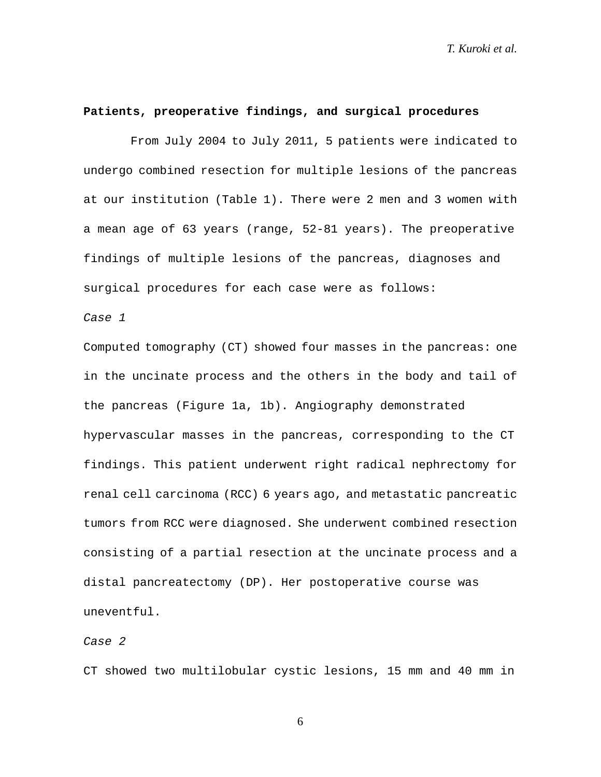#### **Patients, preoperative findings, and surgical procedures**

From July 2004 to July 2011, 5 patients were indicated to undergo combined resection for multiple lesions of the pancreas at our institution (Table 1). There were 2 men and 3 women with a mean age of 63 years (range, 52-81 years). The preoperative findings of multiple lesions of the pancreas, diagnoses and surgical procedures for each case were as follows:

*Case 1*

Computed tomography (CT) showed four masses in the pancreas: one in the uncinate process and the others in the body and tail of the pancreas (Figure 1a, 1b). Angiography demonstrated hypervascular masses in the pancreas, corresponding to the CT findings. This patient underwent right radical nephrectomy for renal cell carcinoma (RCC) 6 years ago, and metastatic pancreatic tumors from RCC were diagnosed. She underwent combined resection consisting of a partial resection at the uncinate process and a distal pancreatectomy (DP). Her postoperative course was uneventful.

### *Case 2*

CT showed two multilobular cystic lesions, 15 mm and 40 mm in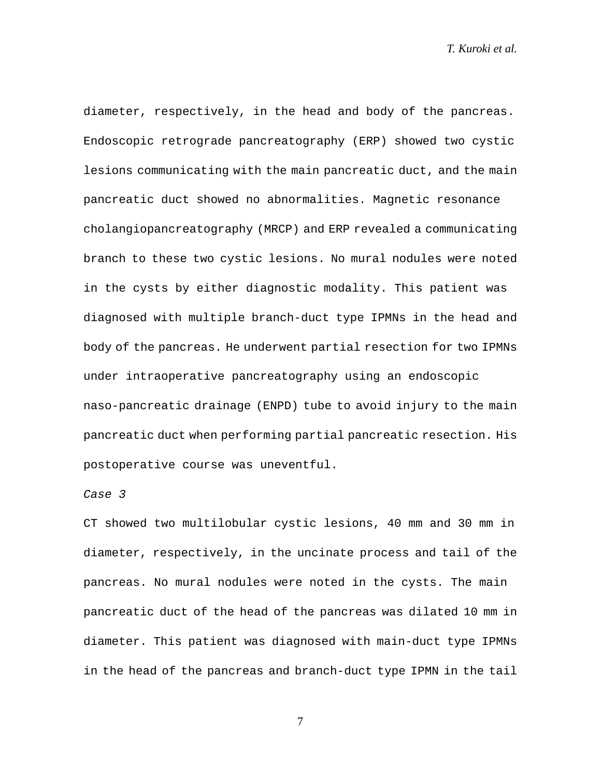diameter, respectively, in the head and body of the pancreas. Endoscopic retrograde pancreatography (ERP) showed two cystic lesions communicating with the main pancreatic duct, and the main pancreatic duct showed no abnormalities. Magnetic resonance cholangiopancreatography (MRCP) and ERP revealed a communicating branch to these two cystic lesions. No mural nodules were noted in the cysts by either diagnostic modality. This patient was diagnosed with multiple branch-duct type IPMNs in the head and body of the pancreas. He underwent partial resection for two IPMNs under intraoperative pancreatography using an endoscopic naso-pancreatic drainage (ENPD) tube to avoid injury to the main pancreatic duct when performing partial pancreatic resection. His postoperative course was uneventful.

### *Case 3*

CT showed two multilobular cystic lesions, 40 mm and 30 mm in diameter, respectively, in the uncinate process and tail of the pancreas. No mural nodules were noted in the cysts. The main pancreatic duct of the head of the pancreas was dilated 10 mm in diameter. This patient was diagnosed with main-duct type IPMNs in the head of the pancreas and branch-duct type IPMN in the tail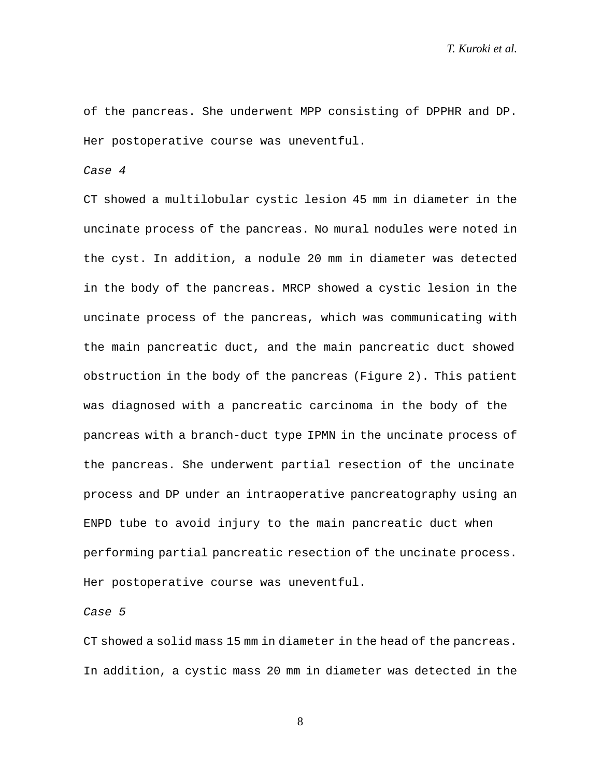of the pancreas. She underwent MPP consisting of DPPHR and DP. Her postoperative course was uneventful.

*Case 4*

CT showed a multilobular cystic lesion 45 mm in diameter in the uncinate process of the pancreas. No mural nodules were noted in the cyst. In addition, a nodule 20 mm in diameter was detected in the body of the pancreas. MRCP showed a cystic lesion in the uncinate process of the pancreas, which was communicating with the main pancreatic duct, and the main pancreatic duct showed obstruction in the body of the pancreas (Figure 2). This patient was diagnosed with a pancreatic carcinoma in the body of the pancreas with a branch-duct type IPMN in the uncinate process of the pancreas. She underwent partial resection of the uncinate process and DP under an intraoperative pancreatography using an ENPD tube to avoid injury to the main pancreatic duct when performing partial pancreatic resection of the uncinate process. Her postoperative course was uneventful.

*Case 5*

CT showed a solid mass 15 mm in diameter in the head of the pancreas. In addition, a cystic mass 20 mm in diameter was detected in the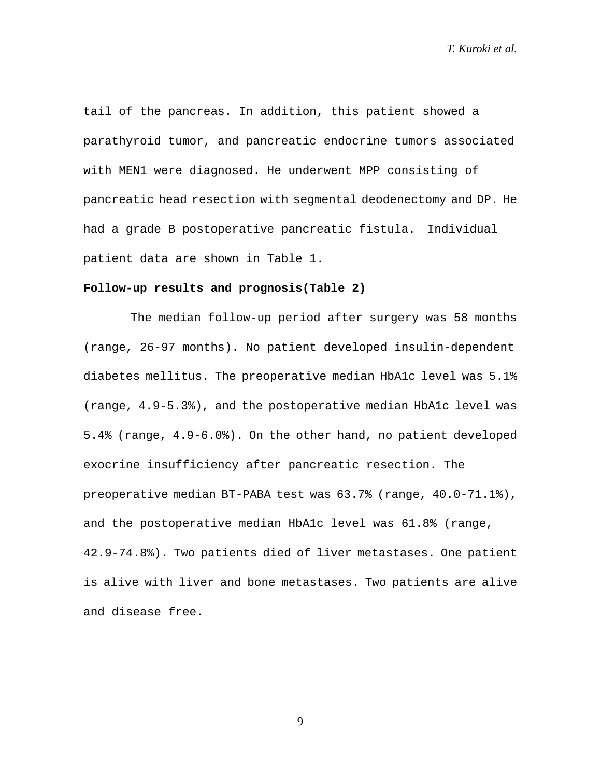tail of the pancreas. In addition, this patient showed a parathyroid tumor, and pancreatic endocrine tumors associated with MEN1 were diagnosed. He underwent MPP consisting of pancreatic head resection with segmental deodenectomy and DP. He had a grade B postoperative pancreatic fistula. Individual patient data are shown in Table 1.

## **Follow-up results and prognosis(Table 2)**

The median follow-up period after surgery was 58 months (range, 26-97 months). No patient developed insulin-dependent diabetes mellitus. The preoperative median HbA1c level was 5.1% (range, 4.9-5.3%), and the postoperative median HbA1c level was 5.4% (range, 4.9-6.0%). On the other hand, no patient developed exocrine insufficiency after pancreatic resection. The preoperative median BT-PABA test was 63.7% (range, 40.0-71.1%), and the postoperative median HbA1c level was 61.8% (range, 42.9-74.8%). Two patients died of liver metastases. One patient is alive with liver and bone metastases. Two patients are alive and disease free.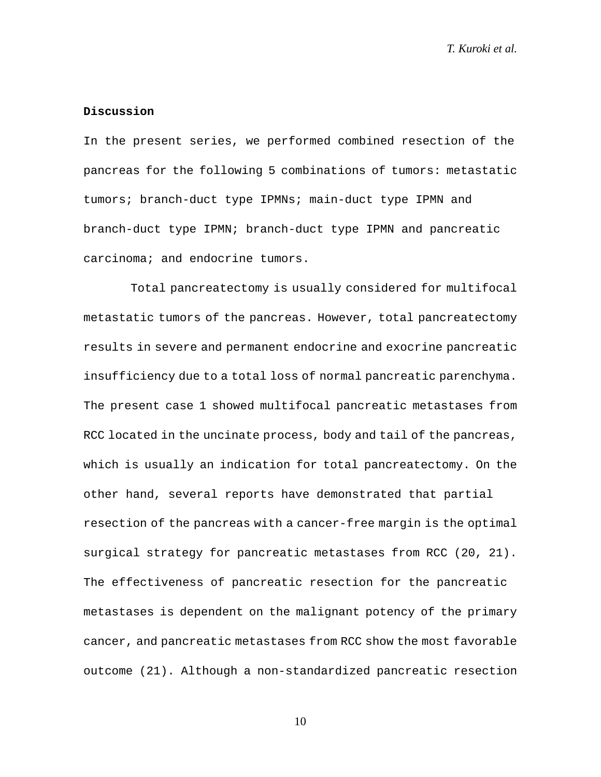#### **Discussion**

In the present series, we performed combined resection of the pancreas for the following 5 combinations of tumors: metastatic tumors; branch-duct type IPMNs; main-duct type IPMN and branch-duct type IPMN; branch-duct type IPMN and pancreatic carcinoma; and endocrine tumors.

Total pancreatectomy is usually considered for multifocal metastatic tumors of the pancreas. However, total pancreatectomy results in severe and permanent endocrine and exocrine pancreatic insufficiency due to a total loss of normal pancreatic parenchyma. The present case 1 showed multifocal pancreatic metastases from RCC located in the uncinate process, body and tail of the pancreas, which is usually an indication for total pancreatectomy. On the other hand, several reports have demonstrated that partial resection of the pancreas with a cancer-free margin is the optimal surgical strategy for pancreatic metastases from RCC (20, 21). The effectiveness of pancreatic resection for the pancreatic metastases is dependent on the malignant potency of the primary cancer, and pancreatic metastases from RCC show the most favorable outcome (21). Although a non-standardized pancreatic resection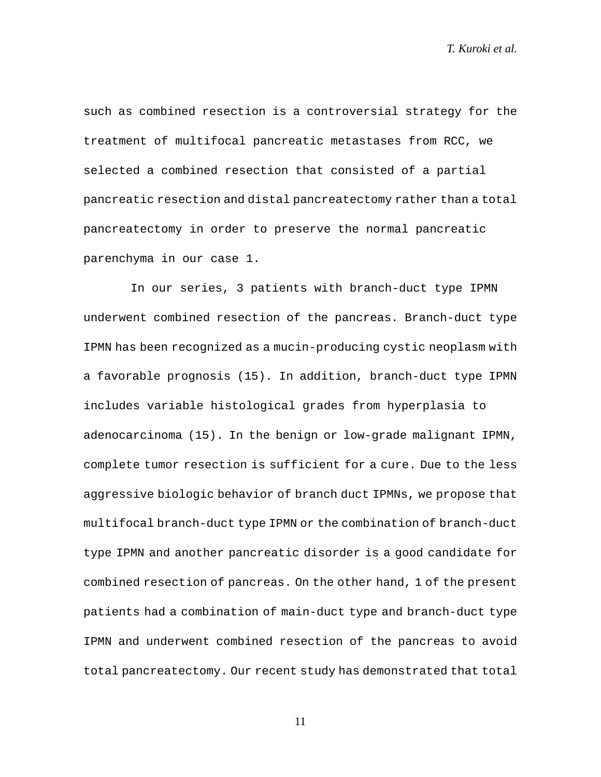such as combined resection is a controversial strategy for the treatment of multifocal pancreatic metastases from RCC, we selected a combined resection that consisted of a partial pancreatic resection and distal pancreatectomy rather than a total pancreatectomy in order to preserve the normal pancreatic parenchyma in our case 1.

In our series, 3 patients with branch-duct type IPMN underwent combined resection of the pancreas. Branch-duct type IPMN has been recognized as a mucin-producing cystic neoplasm with a favorable prognosis (15). In addition, branch-duct type IPMN includes variable histological grades from hyperplasia to adenocarcinoma (15). In the benign or low-grade malignant IPMN, complete tumor resection is sufficient for a cure. Due to the less aggressive biologic behavior of branch duct IPMNs, we propose that multifocal branch-duct type IPMN or the combination of branch-duct type IPMN and another pancreatic disorder is a good candidate for combined resection of pancreas. On the other hand, 1 of the present patients had a combination of main-duct type and branch-duct type IPMN and underwent combined resection of the pancreas to avoid total pancreatectomy. Our recent study has demonstrated that total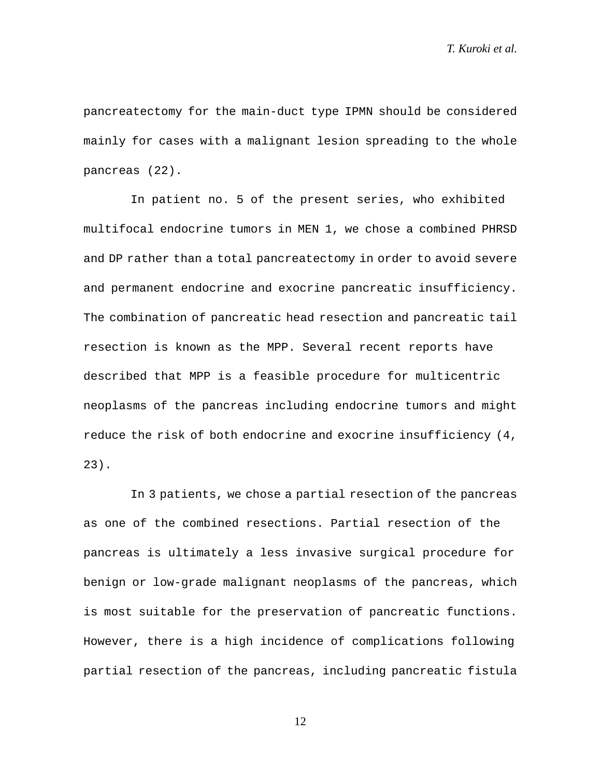pancreatectomy for the main-duct type IPMN should be considered mainly for cases with a malignant lesion spreading to the whole pancreas (22).

In patient no. 5 of the present series, who exhibited multifocal endocrine tumors in MEN 1, we chose a combined PHRSD and DP rather than a total pancreatectomy in order to avoid severe and permanent endocrine and exocrine pancreatic insufficiency. The combination of pancreatic head resection and pancreatic tail resection is known as the MPP. Several recent reports have described that MPP is a feasible procedure for multicentric neoplasms of the pancreas including endocrine tumors and might reduce the risk of both endocrine and exocrine insufficiency (4, 23).

In 3 patients, we chose a partial resection of the pancreas as one of the combined resections. Partial resection of the pancreas is ultimately a less invasive surgical procedure for benign or low-grade malignant neoplasms of the pancreas, which is most suitable for the preservation of pancreatic functions. However, there is a high incidence of complications following partial resection of the pancreas, including pancreatic fistula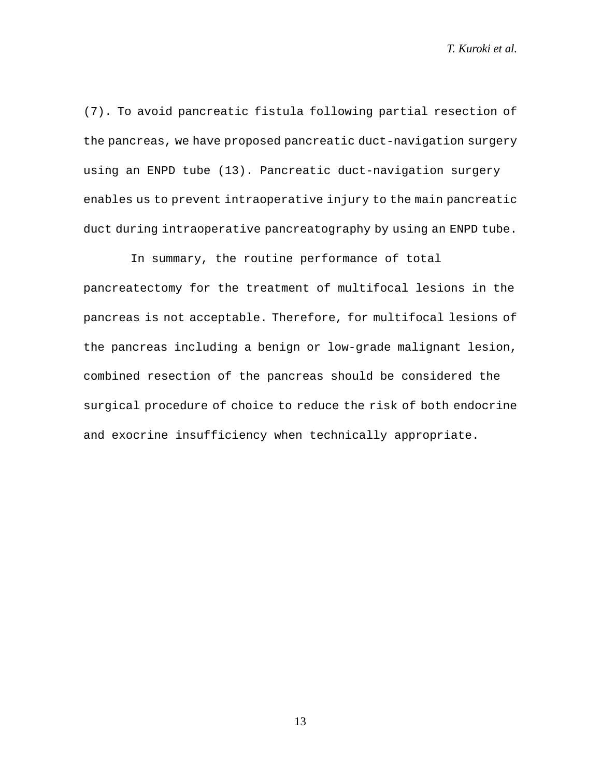(7). To avoid pancreatic fistula following partial resection of the pancreas, we have proposed pancreatic duct-navigation surgery using an ENPD tube (13). Pancreatic duct-navigation surgery enables us to prevent intraoperative injury to the main pancreatic duct during intraoperative pancreatography by using an ENPD tube.

In summary, the routine performance of total pancreatectomy for the treatment of multifocal lesions in the pancreas is not acceptable. Therefore, for multifocal lesions of the pancreas including a benign or low-grade malignant lesion, combined resection of the pancreas should be considered the surgical procedure of choice to reduce the risk of both endocrine and exocrine insufficiency when technically appropriate.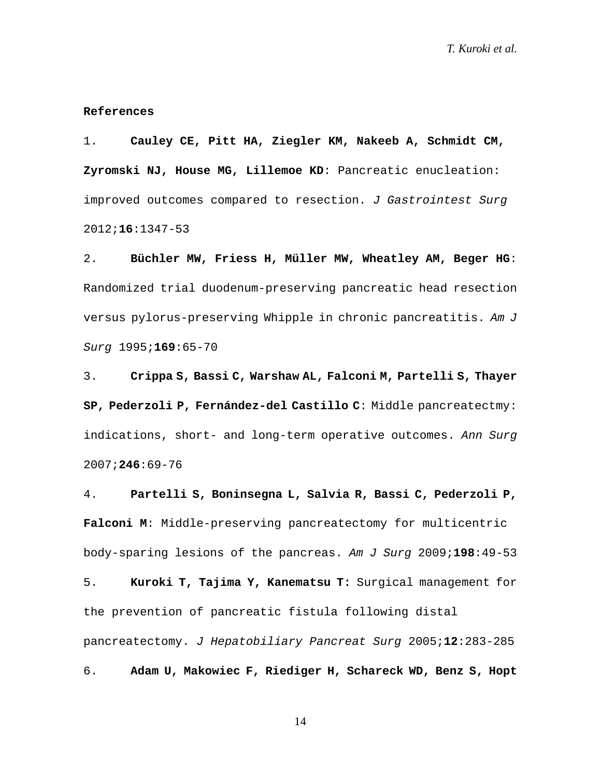#### **References**

1. **Cauley CE, Pitt HA, Ziegler KM, Nakeeb A, Schmidt CM, Zyromski NJ, [House MG,](http://www.ncbi.nlm.nih.gov/pubmed?term=House%20MG%5BAuthor%5D&cauthor=true&cauthor_uid=22528577) [Lillemoe KD](http://www.ncbi.nlm.nih.gov/pubmed?term=Lillemoe%20KD%5BAuthor%5D&cauthor=true&cauthor_uid=22528577)**: Pancreatic enucleation: improved outcomes compared to resection. *J Gastrointest Surg* 2012;**16**:1347-53

2. **Büchler MW, Friess H, Müller MW, Wheatley AM, Beger HG**: Randomized trial duodenum-preserving pancreatic head resection versus pylorus-preserving Whipple in chronic pancreatitis. *Am J Surg* 1995;**169**:65-70

3. **Crippa S, Bassi C, Warshaw AL, Falconi M, Partelli S, Thayer SP, Pederzoli P, Fernández-del Castillo C**: Middle pancreatectmy: indications, short- and long-term operative outcomes. *Ann Surg* 2007;**246**:69-76

4. **Partelli S, Boninsegna L, Salvia R, [Bassi C,](http://www.ncbi.nlm.nih.gov/pubmed?term=Bassi%20C%5BAuthor%5D&cauthor=true&cauthor_uid=19716880) [Pederzoli P,](http://www.ncbi.nlm.nih.gov/pubmed?term=Pederzoli%20P%5BAuthor%5D&cauthor=true&cauthor_uid=19716880) [Falconi M](http://www.ncbi.nlm.nih.gov/pubmed?term=Falconi%20M%5BAuthor%5D&cauthor=true&cauthor_uid=19716880)**: Middle-preserving pancreatectomy for multicentric body-sparing lesions of the pancreas. *Am J Surg* 2009;**198**:49-53 5. **Kuroki T, Tajima Y, Kanematsu T:** Surgical management for

the prevention of pancreatic fistula following distal pancreatectomy. *J Hepatobiliary Pancreat Surg* 2005;**12**:283-285

6. **Adam U, Makowiec F, Riediger H, Schareck WD, Benz S, Hopt**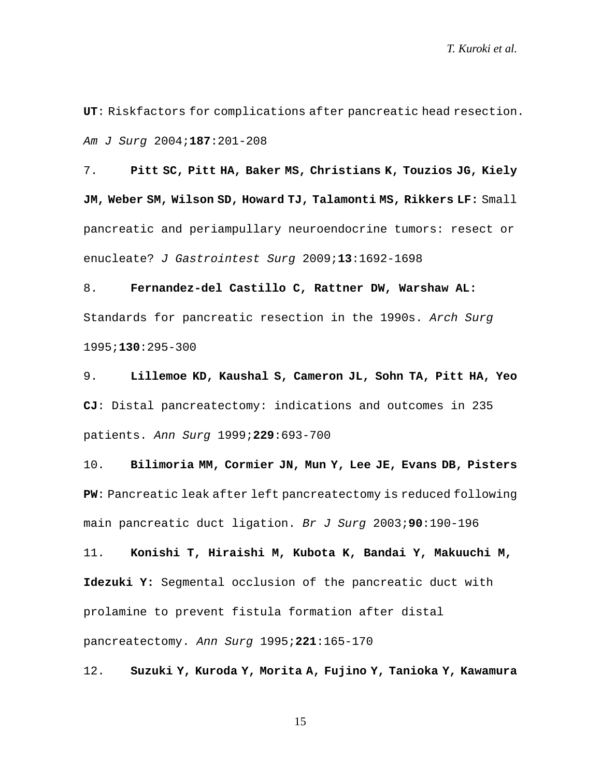**UT**: Riskfactors for complications after pancreatic head resection. *Am J Surg* 2004;**187**:201-208

7. **Pitt SC, Pitt HA, Baker MS, [Christians](http://www.ncbi.nlm.nih.gov/pubmed?term=Christians%20K%5BAuthor%5D&cauthor=true&cauthor_uid=19548038) K, [Touzios JG,](http://www.ncbi.nlm.nih.gov/pubmed?term=Touzios%20JG%5BAuthor%5D&cauthor=true&cauthor_uid=19548038) [Kiely](http://www.ncbi.nlm.nih.gov/pubmed?term=Kiely%20JM%5BAuthor%5D&cauthor=true&cauthor_uid=19548038)  [JM,](http://www.ncbi.nlm.nih.gov/pubmed?term=Kiely%20JM%5BAuthor%5D&cauthor=true&cauthor_uid=19548038) [Weber SM,](http://www.ncbi.nlm.nih.gov/pubmed?term=Weber%20SM%5BAuthor%5D&cauthor=true&cauthor_uid=19548038) [Wilson SD,](http://www.ncbi.nlm.nih.gov/pubmed?term=Wilson%20SD%5BAuthor%5D&cauthor=true&cauthor_uid=19548038) [Howard TJ,](http://www.ncbi.nlm.nih.gov/pubmed?term=Howard%20TJ%5BAuthor%5D&cauthor=true&cauthor_uid=19548038) [Talamonti MS,](http://www.ncbi.nlm.nih.gov/pubmed?term=Talamonti%20MS%5BAuthor%5D&cauthor=true&cauthor_uid=19548038) [Rikkers LF:](http://www.ncbi.nlm.nih.gov/pubmed?term=Rikkers%20LF%5BAuthor%5D&cauthor=true&cauthor_uid=19548038)** Small pancreatic and periampullary neuroendocrine tumors: resect or enucleate? *J Gastrointest Surg* 2009;**13**:1692-1698

8. **Fernandez-del Castillo C, Rattner DW, Warshaw AL:**  Standards for pancreatic resection in the 1990s. *Arch Surg* 1995;**130**:295-300

9. **Lillemoe KD, Kaushal S, Cameron JL, Sohn TA, Pitt HA, Yeo CJ**: Distal pancreatectomy: indications and outcomes in 235 patients. *Ann Surg* 1999;**229**:693-700

10. **Bilimoria MM, Cormier JN, Mun Y, [Lee JE,](http://www.ncbi.nlm.nih.gov/pubmed?term=Lee%20JE%5BAuthor%5D&cauthor=true&cauthor_uid=12555295) [Evans DB,](http://www.ncbi.nlm.nih.gov/pubmed?term=Evans%20DB%5BAuthor%5D&cauthor=true&cauthor_uid=12555295) [Pisters](http://www.ncbi.nlm.nih.gov/pubmed?term=Pisters%20PW%5BAuthor%5D&cauthor=true&cauthor_uid=12555295)  [PW](http://www.ncbi.nlm.nih.gov/pubmed?term=Pisters%20PW%5BAuthor%5D&cauthor=true&cauthor_uid=12555295)**: Pancreatic leak after left pancreatectomy is reduced following main pancreatic duct ligation. *Br J Surg* 2003;**90**:190-196

11. **Konishi T, Hiraishi M, Kubota K, [Bandai Y,](http://www.ncbi.nlm.nih.gov/pubmed?term=Bandai%20Y%5BAuthor%5D&cauthor=true&cauthor_uid=7531967) [Makuuchi M,](http://www.ncbi.nlm.nih.gov/pubmed?term=Makuuchi%20M%5BAuthor%5D&cauthor=true&cauthor_uid=7531967) [Idezuki Y:](http://www.ncbi.nlm.nih.gov/pubmed?term=Idezuki%20Y%5BAuthor%5D&cauthor=true&cauthor_uid=7531967)** Segmental occlusion of the pancreatic duct with prolamine to prevent fistula formation after distal pancreatectomy. *Ann Surg* 1995;**221**:165-170

12. **Suzuki Y, Kuroda Y, Morita A, Fujino Y, Tanioka Y, Kawamura**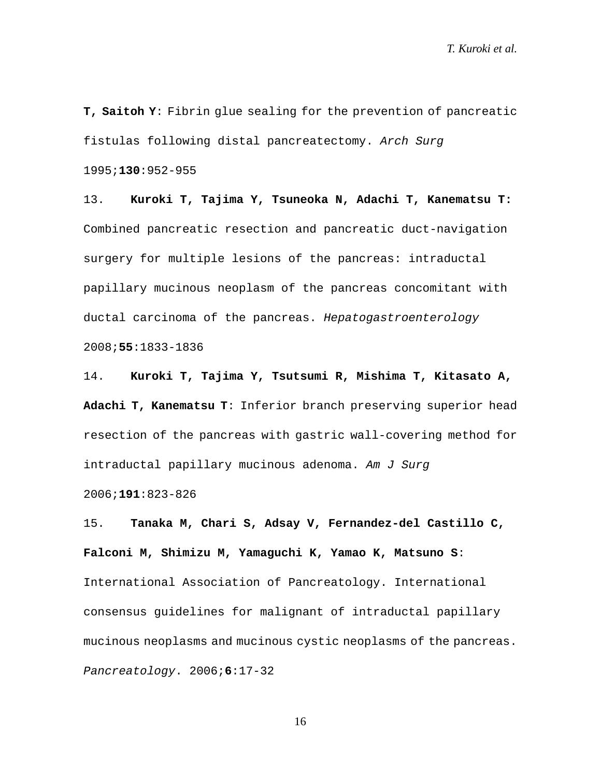**T, Saitoh Y**: Fibrin glue sealing for the prevention of pancreatic fistulas following distal pancreatectomy. *Arch Surg* 1995;**130**:952-955

13. **Kuroki T, Tajima Y, Tsuneoka N, Adachi T, Kanematsu T:** Combined pancreatic resection and pancreatic duct-navigation surgery for multiple lesions of the pancreas: intraductal papillary mucinous neoplasm of the pancreas concomitant with ductal carcinoma of the pancreas. *Hepatogastroenterology* 2008;**55**:1833-1836

14. **Kuroki T, Tajima Y, Tsutsumi R, Mishima T, Kitasato A, Adachi T, Kanematsu T**: Inferior branch preserving superior head resection of the pancreas with gastric wall-covering method for intraductal papillary mucinous adenoma. *Am J Surg* 2006;**191**:823-826

15. **Tanaka M, Chari S, Adsay V, Fernandez-del Castillo C, Falconi M, Shimizu M, Yamaguchi K, Yamao K, Matsuno S**: International Association of Pancreatology. International consensus guidelines for malignant of intraductal papillary mucinous neoplasms and mucinous cystic neoplasms of the pancreas. *Pancreatology*. 2006;**6**:17-32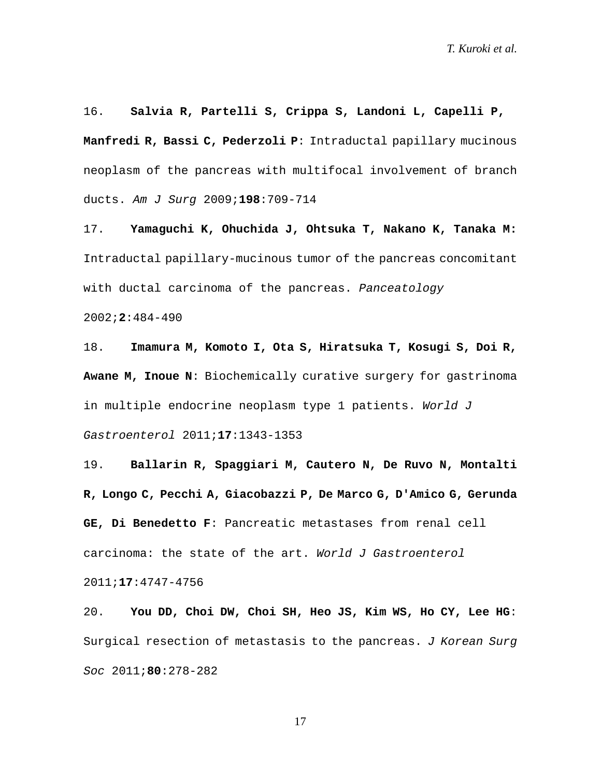16. **Salvia R, Partelli S, Crippa S, Landoni L, Capelli P, Manfredi R, Bassi C, Pederzoli P**: Intraductal papillary mucinous neoplasm of the pancreas with multifocal involvement of branch ducts. *Am J Surg* 2009;**198**:709-714

17. **Yamaguchi K, Ohuchida J, Ohtsuka T, Nakano K, Tanaka M:** Intraductal papillary-mucinous tumor of the pancreas concomitant with ductal carcinoma of the pancreas. *Panceatology*

2002;**2**:484-490

18. **Imamura M, Komoto I, Ota S, Hiratsuka T, Kosugi S, Doi R, Awane M, Inoue N**: Biochemically curative surgery for gastrinoma in multiple endocrine neoplasm type 1 patients. *World J Gastroenterol* 2011;**17**:1343-1353

19. **Ballarin R, Spaggiari M, Cautero N, De Ruvo N, Montalti R, Longo C, Pecchi A, Giacobazzi P, De Marco G, D'Amico G, Gerunda GE, Di Benedetto F**: Pancreatic metastases from renal cell carcinoma: the state of the art. *World J Gastroenterol* 2011;**17**:4747-4756

20. **You DD, Choi DW, Choi SH, Heo JS, Kim WS, Ho CY, Lee HG**: Surgical resection of metastasis to the pancreas. *J Korean Surg Soc* 2011;**80**:278-282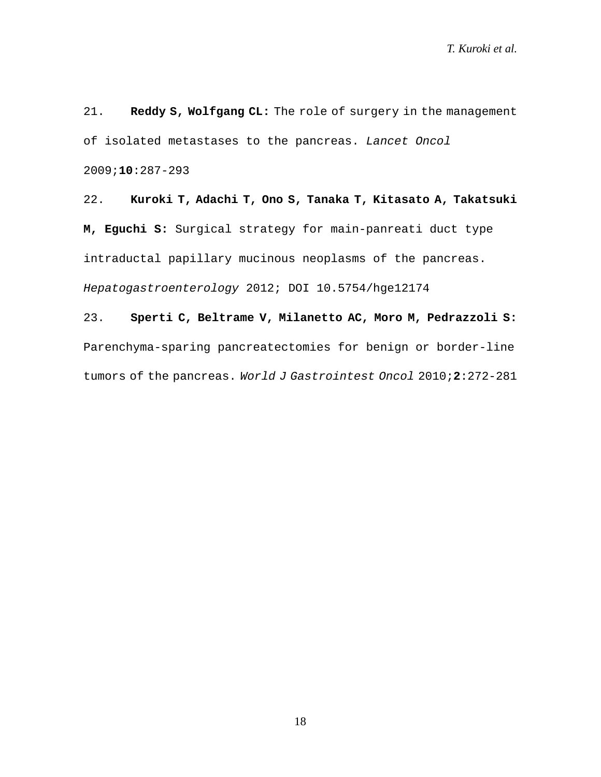21. **Reddy S, Wolfgang CL:** The role of surgery in the management of isolated metastases to the pancreas. *Lancet Oncol* 2009;**10**:287-293

22. **Kuroki T, Adachi T, Ono S, Tanaka T, Kitasato A, Takatsuki M, Eguchi S:** Surgical strategy for main-panreati duct type intraductal papillary mucinous neoplasms of the pancreas. *Hepatogastroenterology* 2012; DOI 10.5754/hge12174

23. **Sperti C, Beltrame V, Milanetto AC, Moro M, Pedrazzoli S:** Parenchyma-sparing pancreatectomies for benign or border-line tumors of the pancreas. *World J Gastrointest Oncol* 2010;**2**:272-281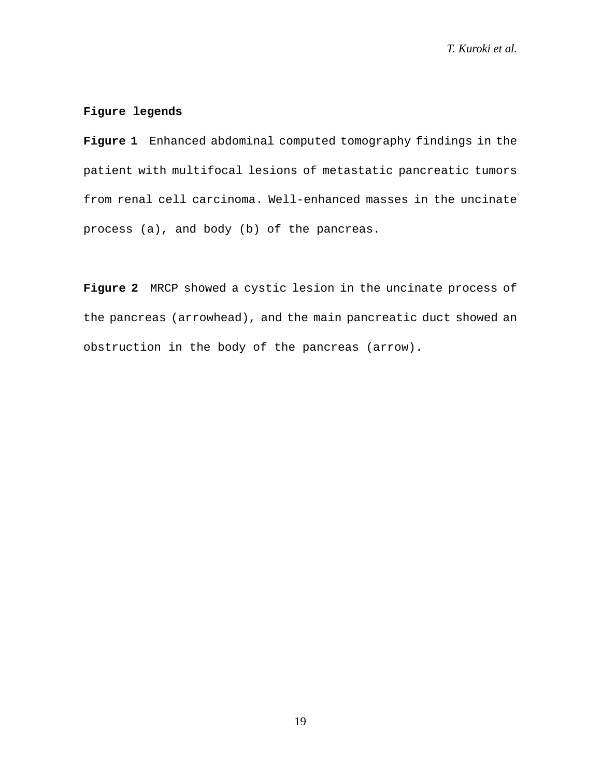## **Figure legends**

**Figure 1** Enhanced abdominal computed tomography findings in the patient with multifocal lesions of metastatic pancreatic tumors from renal cell carcinoma. Well-enhanced masses in the uncinate process (a), and body (b) of the pancreas.

**Figure 2** MRCP showed a cystic lesion in the uncinate process of the pancreas (arrowhead), and the main pancreatic duct showed an obstruction in the body of the pancreas (arrow).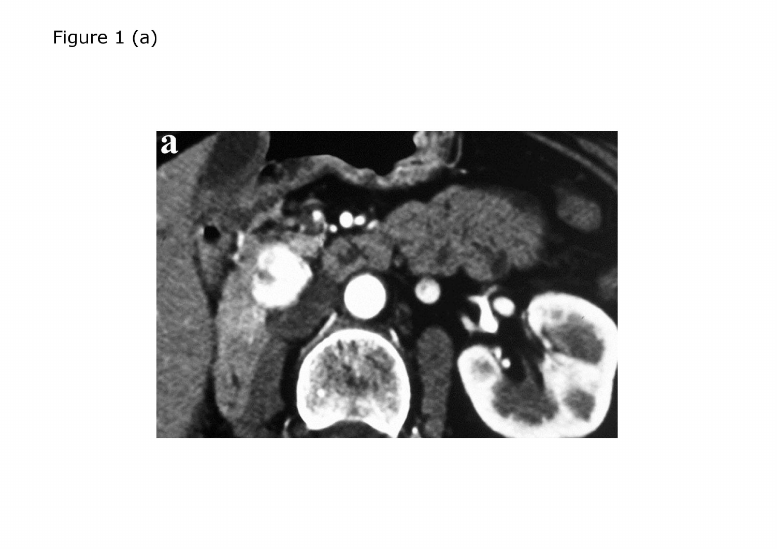# Figure 1 (a)

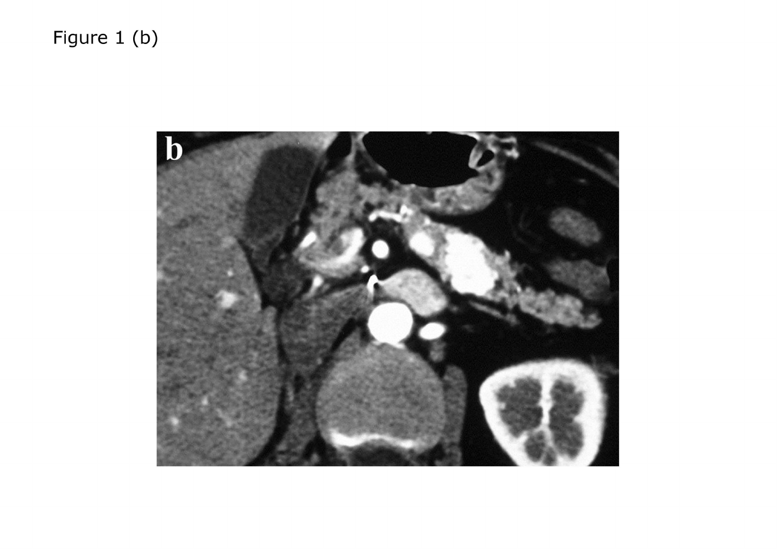# Figure 1 (b)

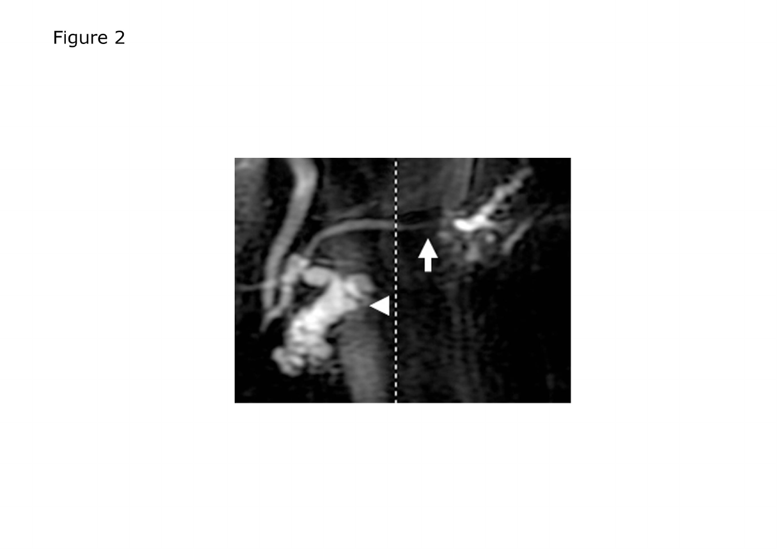Figure 2

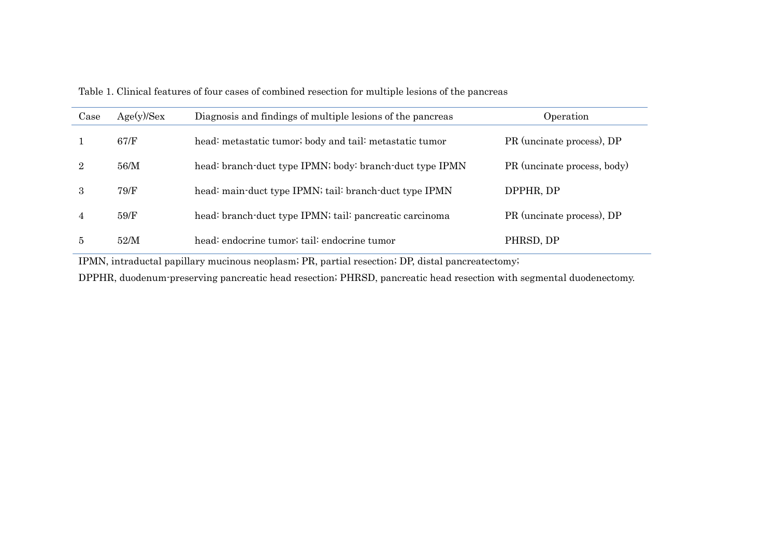| Case | Age(y)/Sex | Diagnosis and findings of multiple lesions of the pancreas | Operation                   |
|------|------------|------------------------------------------------------------|-----------------------------|
|      | 67/F       | head: metastatic tumor; body and tail: metastatic tumor    | PR (uncinate process), DP   |
|      | 56/M       | head: branch-duct type IPMN; body: branch-duct type IPMN   | PR (uncinate process, body) |
| 3    | 79/F       | head: main-duct type IPMN; tail: branch-duct type IPMN     | DPPHR, DP                   |
|      | 59/F       | head: branch-duct type IPMN; tail: pancreatic carcinoma    | PR (uncinate process), DP   |
| 5    | 52/M       | head: endocrine tumor; tail: endocrine tumor               | PHRSD, DP                   |

Table 1. Clinical features of four cases of combined resection for multiple lesions of the pancreas

IPMN, intraductal papillary mucinous neoplasm; PR, partial resection; DP, distal pancreatectomy;

DPPHR, duodenum-preserving pancreatic head resection; PHRSD, pancreatic head resection with segmental duodenectomy.